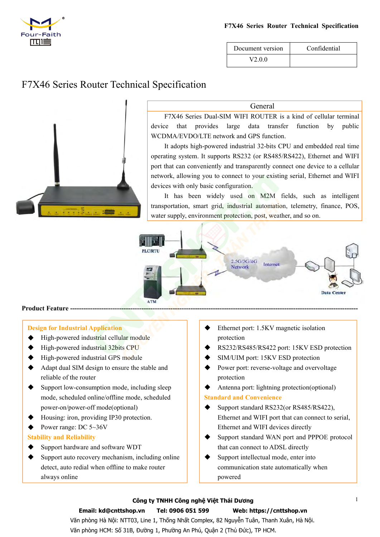

| F7X46 Series Router Technical Specification |              |  |
|---------------------------------------------|--------------|--|
| Document version                            | Confidential |  |



### General

F7X46 Series Router Technical Specification<br>
Document version<br>
Confidential<br>
V2.0.0<br>
Confidential<br>
F7X46 Series Dual-SIM WIFI ROUTER is a kind of cellular terminal<br>
re that provides large data transfer function by public<br> Document version<br>
Document version<br>
V2.0.0<br>
Confidential<br>
V2.0.0<br>
General<br>
F7X46 Series Dual-SIM WIFI ROUTER is a kind of cellular terminal<br>
device that provides large data transfer function by public<br>
WCDMA/EVDO/LTE netwo Document version Confidential<br>V2.0.0 Confidential<br>Neverther and Confidential<br>F7X46 Series Dual-SIM WIFI ROUTER is a kind of cellular terminal<br>device that provides large data transfer function by public<br>WCDMA/EVDO/LTE netwo

Document version Confidential<br>
V2.0.0<br>
Ceneral<br>
F7X46 Series Dual-SIM WIFI ROUTER is a kind of cellular terminal<br>
re that provides large data transfer function by public<br>
DMA/EVDO/LTE network and GPS function.<br>
It adopts h V2.0.0<br>
Specification<br>
F7X46 Series Dual-SIM WIFI ROUTER is a kind of cellular terminal<br>
device that provides large data transfer function by public<br>
WCDMA/EVDO/LTE network and GPS function.<br>
It adopts high-powered industr **EXECT CONVERTS CONVERTS CONVERTS CONVERTS CONVERTS CONVERTS (SPECIFY) AND THE PROPORT CONVERTS AND AREXED CONVERTS (SPECIFY) AND AN EVODMA/EVDO/LTE network and GPS function.** It adopts high-powered industrial 32-bits CPU Specification<br>
F7X46 Series Dual-SIM WIFI ROUTER is a kind of cellular terminal<br>
device that provides large data transfer function by public<br>
WCDMA/EVDO/LTE network and GPS function.<br>
It adopts high-powered industrial 32-b General<br>
F7X46 Series Dual-SIM WIFI ROUTER is a kind of co<br>
device that provides large data transfer function<br>
WCDMA/EVDO/LTE network and GPS function.<br>
It adopts high-powered industrial 32-bits CPU and embe<br>
operating sys General<br>
F7X46 Series Dual-SIM WIFI ROUTER is a kind of cellular terminal<br>
ee that provides large data transfer function by public<br>
DMA/EVDO/LTE network and GPS function.<br>
It adopts high-powered industrial 32-bits CPU and General<br>
F7X46 Series Dual-SIM WIFI ROUTER is a kind of cellular terminal<br>
device that provides large data transfer function by public<br>
WCDMA/EVDO/LTE network and GPS function.<br>
It adopts high-powered industrial 32-bits CP F/X46 Senes Dual-SIM WIFT ROUTER IS a kind of cellular terminal<br>device that provides large data transfer function by public<br>WCDMA/EVDO/LTE network and GPS function.<br>It adopts high-powered industrial 32-bits CPU and embedde



- 
- 
- 
- 
- reliable of the reliance of the reliable of the reliance of the reliable powered industrial cellular module<br>High-powered industrial 32bits CPU<br>High-powered industrial 32bits CPU<br>High-powered industrial GPS module<br>Adapt dua For Fracture and Mustrial Application<br>
Support Industrial Application<br>
→ High-powered industrial 32bits CPU<br>
→ High-powered industrial 32bits CPU<br>
→ High-powered industrial GPS module<br>
→ High-powered industrial GPS modul mode, scheduled online/offline mode, scheduled power-on/power-off mode(optional) **Design for Industrial Application**<br>
→ High-powered industrial cellular module<br>
→ High-powered industrial GPS module<br>
→ High-powered industrial GPS module<br>
→ Adapt dual SIM design to ensure the stable and<br>
reliable of the **Posign for Industrial Application**<br>  $\blacklozenge$  High-powered industrial algorities CPU<br>  $\blacklozenge$  High-powered industrial GPS module<br>  $\blacklozenge$  High-powered industrial GPS module<br>  $\blacklozenge$  Adapt dual SIM design to ensure the stab <del>■ High-powered</del> industrial cellular module<br>
■ High-powered industrial 32bits CPU<br>
■ High-powered industrial GPS module<br>
■ Adapt dual SIM design to ensure the stable and<br>
reliable of the router<br>
Support low-consumption mo renable of the router<br>Support low-consumption mode, including sle<br>mode, scheduled online/offline mode, schedul<br>power-on/power-off mode(optional)<br>Housing: iron, providing IP30 protection.<br>Power range: DC 5~36V<br>ility and Rel
- 
- 

- 
- Support Figh-powered industrial GPS module<br>
Adapt dual SIM design to ensure the stable and<br>
reliable of the router<br>
Support low-consumption mode, including sleep<br>
mode, scheduled online/offline mode, scheduled<br>
Power-on • High-powered maustrial GPS module<br>
Adapt dual SIM design to ensure the stable and<br>
• Rower port: revers<br>
reliable of the router<br>
Support low-consumption mode, including sleep<br>
mode, scheduled online/offline mode, sched Adapt dual SIM design to ensure the stable and<br>
reliable of the router<br>
reliable of the router<br>
mode, scheduled online/offline mode, scheduled<br>
power-on/power-off mode(optional)<br>
Housing: iron, providing IP30 protection.<br>
- protection
- -
	- protection
	-
- <del>● Ethernet port: 1.5KV magnetic isolation</del><br>
→ Ethernet port: 1.5KV magnetic isolation<br>
→ RS232/RS485/RS422 port: 15KV ESD protectio<br>
→ SIM/UIM port: 15KV ESD protection<br>
→ Power port: reverse-voltage and overvoltage<br>
pro SUPPORT SUPPORT SUPPORT SUPPORT SUPPORT SUPPORT SUPPORT SUPPORT SUPPORT SUPPORT SUPPORT SUPPORT SUPPORT SUPPORT SUPPORT SUPPORT SUPPORT SUPPORT SUPPORT SUPPORT SUPPORT SUPPORT SUPPORT SUPPORT SUPPORT SUPPORT SUPPORT SUPPO Ethernet port: 1.5KV magnetic isolation<br>protection<br>RS232/RS485/RS422 port: 15KV ESD protection<br>SIM/UIM port: 15KV ESD protection<br>Power port: reverse-voltage and overvoltage<br>protection<br>Antenna port: lightning protection(opt Ethernet port: 1.5KV magnetic Isolation<br>
RS232/RS485/RS422 port: 15KV ESD protection<br>
SIM/UIM port: 15KV ESD protection<br>
Power port: reverse-voltage and overvoltage<br>
protection<br>
Antenna port: lightning protection(optional) → RS232/RS485/RS422 port: 15KV ESD protection<br>
→ RS232/RS485/RS422 port: 15KV ESD protection<br>
→ Dimeter port: reverse-voltage and overvoltage<br>
protection<br>
→ Antenna port: lightning protection(optional)<br>
Standard and Conve RS232/KS483/KS422 port: T5KV ESD protection<br>SIM/UIM port: 15KV ESD protection<br>Power port: reverse-voltage and overvoltage<br>protection<br>Antenna port: lightning protection(optional)<br>**dard and Convenience**<br>Support standard RS23 SINI/OINT port. TSKV ESD protection<br>
⇒ Power port: reverse-voltage and overvoltage<br>
protection<br>
∧ Antenna port: lightning protection(optional)<br>
Standard and Convenience<br>
← Support standard RS232(or RS485/RS422),<br>
Ethernet Power port: reverse-voltage and overvoltage<br>protection<br>Antenna port: lightning protection(optional)<br>dard and Convenience<br>Support standard RS232(or RS485/RS422),<br>Ethernet and WIFI port that can connect to serial,<br>Ethernet a
	-
	- powered

### **Công ty TNHH Công nghệ Việt Thái Dương**

## **Email: kd@cnttshop.vn Tel: 0906 051 599 Web: https://cnttshop.vn**

Văn phòng Hà Nội: NTT03, Line 1, Thống Nhất Complex, 82 Nguyễn Tuân, Thanh Xuân, Hà Nội. Văn phòng HCM: Số 31B, Đường 1, Phường An Phú, Quận 2 (Thủ Đức), TP HCM.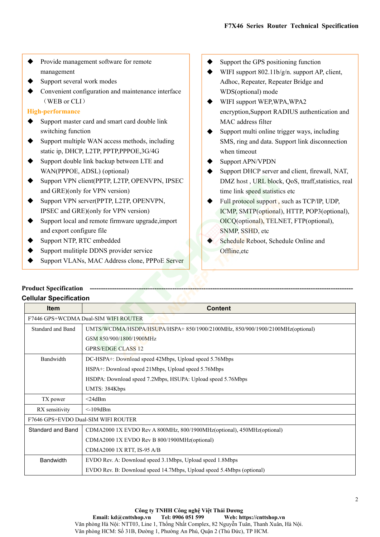- Provide management software for remote<br>
management<br>
→ Support several work modes<br>
→ Convenient configuration and maintenance interface<br>
→ Convenient configuration and maintenance interface<br>
→ WDS( management
- 
- ◆ Provide management software for remote<br>management<br>Support several work modes<br>Convenient configuration and maintenance interface<br>(WEB or CLI)<br>High-performance <table>\n<tbody>\n<tr>\n<th>•</th>\n<th>Provide management software for remote management</th>\n</tr>\n<tr>\n<td>•</td>\n<td>Support the GP management</td>\n</tr>\n<tr>\n<td>•</td>\n<td>Support the GPP</td>\n</tr>\n<tr>\n<td>•</td>\n<td>Support the GPP</td>\n</tr>\n<tr>\n<td>•</td>\n<td>WIFI support 8</td>\n</tr>\n<tr>\n<td>•</td>\n<td>CHAPTER I support 8</td>\n</tr>\n<tr>\n<td>•</td>\n<td>WDFI support 8</td>\n</tr>\n<tr>\n<td>•</td>\n<td>WDS(optional)</td>\n</tr>\n<tr>\n<td>•</td>\n<td>WIFI Provide management software for remote<br>
management<br>
Support several work modes<br>
Convenient configuration and maintenance interface<br>
(WEB or CLI)<br>
-**performance**<br>
Support master card and smart card double link<br>
switching f Support management<br>
Support several work modes<br>
Support several work modes<br>
Support several work modes<br>
∴<br>
Convenient configuration and maintenance interface<br>
© Support the GF<br>
MIFI support 8<br>
Mac, Repeat<br>
© WIFI support <table>\n<tbody>\n<tr>\n<th>•</th>\n<td>Provide management software for remote management</td>\n</tr>\n<tr>\n<td>•</td>\n<td>Supports several work modes</td>\n</tr>\n<tr>\n<td>•</td>\n<td>Supports several work modes</td>\n</tr>\n<tr>\n<td>•</td>\n<td>Output</td>\n<td>WIF1 support<br/>(WEB or CLI)</td>\n</tr>\n<tr>\n<td>•</td>\n<td>WDF1 support<br/>WDF1 support<br/>in the method</td>\n</tr>\n<tr>\n<td>•</td>\n<td>Supports</td>\n</tr>\n<tr>\n<td>•</td>\n<td>Supports</td>\n</tr>\n<tr>\n<td>•</td>\n<td>Supports</td>\n</tr>\ static ip, DHCP, L2TP, PPTP,PPPOE,3G/4G

# **High-performance**

- 
- Provide management software for remote<br>management<br>Support several work modes<br>Convenient configuration and maintenance interf<br>(WEB or CLI)<br>-**performance**<br>Support master card and smart card double link<br>switching function<br>Sup
- 
- Support management soliwate for emotion of the companison of the companison of the convenient configuration and maintenance interface<br>
Support double Support master card and smart card double link<br>
Support multiple WAN a management<br>
Support several work modes<br>
Convenient configuration and maintenance interface<br>
(WEB or CLI)<br>
-**performance**<br>
Support master card and smart card double link<br>
switching function<br>
Support multiple WAN access meth Support several work modes<br>
(WEB or CLI)<br>
High-performance<br>
Support master card and smart card double link<br>
Support multiple WAN access methods, including<br>
sure sure of the switching function<br>
Support multiple WAN access Convenient coninguration and maintenance interace<br>
(WEB or CLI)<br>
-**performance**<br>
Support master card and smart card double link<br>
switching function<br>
Support multiple WAN access methods, including<br>
static ip, DHCP, L2TP, PP WEB of CLI<br> **High-performance**<br>
Support master card and smart card double link<br>
switching function<br>
Support multiple WAN access methods, including<br>
Support static ip, DHCP, L2TP, PPTP,PPPOE,3G/4G<br>
Support double link backu -<br>
Periormance<br>
Support master card and smart card double link<br>
switching function<br>
Support multiple WAN access methods, including<br>
static ip, DHCP, L2TP, PPTP,PPPOE,3G/4G<br>
Support double link backup between LTE and<br>
WAN( Support master card and smart card double link<br>
switching function<br>
Support multiple WAN access methods, including<br>
SUPPORT Support double link backup between LTE and<br>
Support WAN(PPPOE, ADSL) (optional)<br>
Support VPN cli switching function<br>
Support multiple WAN access methods, including<br>
static ip, DHCP, L2TP, PPTP,PPPOE,3G/4G<br>
Support double link backup between LTE and<br>
WAN(PPPOE, ADSL) (optional)<br>
Support VPN client(PPTP, L2TP, OPENVPN, → Support multiple WAN access methods, including<br>static ip, DHCP, L2TP, PPTP,PPPOE,3G/4G<br>
→ Support double link backup between LTE and<br>
WAN(PPPOE, ADSL) (optional)<br>
→ Support VPN client(PPTP, L2TP, OPENVPN, IPSEC<br>
and GRE Support double link backup between LTE and<br>
Support double link backup between LTE and<br>
WAN(PPPOE, ADSL) (optional)<br>
Support VPN client(PPTP, L2TP, OPENVPN, IPSEC<br>
and GRE)(only for VPN version)<br>
FIGURE Support local and VERIVE WAN (PPPOE, ADSL) (optional)<br>
Support VPN client(PPTP, L2TP, OPENVPN, IPSEC<br>
and GRE)(only for VPN version)<br>
Support VPN server(PPTP, L2TP, OPENVPN,<br>
IDEX host, URL to the link speed sta<br>
Support VPN server(PPTP,
- 
- 
- 
- 
- 
- 
- **F7X46 Series Router Technical Specification**<br>  $\blacklozenge$  Support the GPS positioning function<br>  $\blacklozenge$  WIFI support 802.11b/g/n. support AP, client,<br>
Adhoc, Repeater, Repeater Bridge and<br>
WDS(optional) mode F7X46 Series Router Technical Specification<br>
◆ Support the GPS positioning function<br>
◆ WIFI support 802.11b/g/n. support AP, client,<br>
Adhoc, Repeater, Repeater Bridge and<br>
WDS(optional) mode<br>
◆ WIFI support WEP, WPA, WPA F7X46 Series Router Technical Specification<br>Support the GPS positioning function<br>WIFI support 802.11b/g/n. support AP, client,<br>Adhoc, Repeater, Repeater Bridge and<br>WDS(optional) mode<br>WIFI support WEP,WPA,WPA2<br>encryption,Su
- F7X46 Series Router Technical Specification<br>
Support the GPS positioning function<br>
WIFI support 802.11b/g/n. support AP, client,<br>
Adhoc, Repeater, Repeater Bridge and<br>
WDS(optional) mode<br>
WIFI support WEP,WPA,WPA2<br>
encrypt F7X46 Series Router Technical Specification<br>
◆ Support the GPS positioning function<br>
◆ WIFI support 802.11b/g/n. support AP, client,<br>
Adhoc, Repeater, Repeater Bridge and<br>
WDS(optional) mode<br>
◆ WIFI support WEP,WPA,WPA2<br> F7X46 Series Router Technical Specification<br>
Support the GPS positioning function<br>
WIFI support 802.11b/g/n. support AP, client,<br>
Adhoc, Repeater, Repeater Bridge and<br>
WDS(optional) mode<br>
WIFI support WEP,WPA,WPA2<br>
encrypt F7X46 Series Router Technical Specification<br>
Support the GPS positioning function<br>
WIFI support 802.11b/g/n. support AP, client,<br>
Adhoc, Repeater, Repeater Bridge and<br>
WDS(optional) mode<br>
WIFI support WEP,WPA,WPA2<br>
encrypt
- <ul>\n<li>Support the GPS positioning function</li>\n<li>WIFI support 802.11b/g/n. support AP, client, Adhoc, Repeater, Repeater Bridge and WDS(optional) mode</li>\n<li>WIFI support WEP, WPA, WPA2 encryption, Support RADIUS authentication and MAC address filter</li>\n<li>Support multi online trigger ways, including SMS, ring and data. Support link disconnection when timeout</li>\n<li>Support APN/VPDN</li>\n</ul> Support the GPS positioning function<br>WIFI support 802.11b/g/n. support AP, client,<br>Adhoc, Repeater, Repeater Bridge and<br>WDS(optional) mode<br>WIFI support WEP,WPA,WPA2<br>encryption,Support RADIUS authentication and<br>MAC address Support the GPS positioning function<br>WIFI support 802.11b/g/n. support AP, clien<br>Adhoc, Repeater, Repeater Bridge and<br>WDS(optional) mode<br>WIFI support WEP,WPA,WPA2<br>encryption,Support RADIUS authentication<br>MAC address filter
- 
- <ul>\n<li> support the GPS postuoning function</li>\n<li> WITH support 802.11b/g/n. support AP, client, Adhoc, Repeater, Repeater Bridge and WDS(optional) mode</li>\n<li> WITH support WEP, WPA, WPA2 encryption, Support RADIUS authentication and MAC address filter</li>\n<li> Support multi online trigger ways, including SMS, ring and data. Support link disconnection when timeout</li>\n<li> Support APN/VPDN Support DHCP server and client, firewall, NAT, DMZ host, URL block, QoS, traffic statistics, real time link speed statistics etc</li>\n</ul> VET support 802.110/g/n. support AP, chent,<br>Adhoc, Repeater, Repeater Bridge and<br>WDS(optional) mode<br>
→ WIFI support WEP,WPA,WPA2<br>
encryption,Support RADIUS authentication and<br>
MAC address filter<br>
→ Support multi online tr Adnoc, kepeater, kepeater Bridge and<br>
WDS(optional) mode<br>
WIFI support WEP,WPA,WPA2<br>
encryption,Support RADIUS authentication and<br>
MAC address filter<br>
Support multi online trigger ways, including<br>
SMS, ring and data. Suppo WIFI support WEP,WPA,WPA2<br>
encryption,Support RADIUS authentication and<br>
MAC address filter<br>
Support multi online trigger ways, including<br>
SMS, ring and data. Support link disconnection<br>
when timeout<br>
Support APN/VPDN<br>
Sup
- Full protocol support RADIUS authentication and<br>
MAC address filter<br>
⇒ Support multi online trigger ways, including<br>
SMS, ring and data. Support link disconnection<br>
when timeout<br>
⇒ Support APN/VPDN<br>
Support DHCP server an encryption, support KADIUS authentication and<br>
MAC address filter<br>
Support multi online trigger ways, including<br>
SMS, ring and data. Support link disconnection<br>
when timeout<br>
Support APN/VPDN<br>
Support DHCP server and clien MAC address niter<br>
Support multi online trigger ways, including<br>
SMS, ring and data. Support link disconnection<br>
when timeout<br>
Support APN/VPDN<br>
Support DHCP server and client, firewall, NAT,<br>
DMZ host , URL block, QoS, tt Support multi online trigger ways, including<br>
SMS, ring and data. Support link disconnection<br>
when timeout<br>
Support APN/VPDN<br>
Support DHCP server and client, firewall, NAT,<br>
DMZ host, URL block, QoS, ttraff, statistics, re SMS, Fing and data. Support link disconnection<br>when timeout<br>
Support APN/VPDN<br>
Support DHCP server and client, firewall, NAT,<br>
DMZ host, URL block, QoS, ttraff, statistics, real<br>
time link speed statistics etc<br>
Full protoc
- Offline,etc

|                                                   | and GRE)(only for VPN version)                                               | time link speed statistics etc               |  |
|---------------------------------------------------|------------------------------------------------------------------------------|----------------------------------------------|--|
| Support VPN server(PPTP, L2TP, OPENVPN,           |                                                                              | Full protocol support, such as TCP/IP, UDP,  |  |
| IPSEC and GRE)(only for VPN version)              |                                                                              | ICMP, SMTP(optional), HTTP, POP3(optional),  |  |
| Support local and remote firmware upgrade, import |                                                                              | OICQ(optional), TELNET, FTP(optional),       |  |
| and export configure file                         |                                                                              | SNMP, SSHD, etc                              |  |
| Support NTP, RTC embedded                         |                                                                              | Schedule Reboot, Schedule Online and         |  |
|                                                   | Support mulitiple DDNS provider service                                      | Offline, etc                                 |  |
|                                                   | Support VLANs, MAC Address clone, PPPoE Server                               |                                              |  |
|                                                   |                                                                              |                                              |  |
| <b>Product Specification</b>                      |                                                                              |                                              |  |
| <b>Cellular Specification</b>                     |                                                                              |                                              |  |
| Item                                              |                                                                              | <b>Content</b>                               |  |
|                                                   | F7446 GPS+WCDMA Dual-SIM WIFI ROUTER                                         |                                              |  |
| Standard and Band                                 | UMTS/WCDMA/HSDPA/HSUPA/HSPA+850/1900/2100MHz, 850/900/1900/2100MHz(optional) |                                              |  |
|                                                   | GSM 850/900/1800/1900MHz                                                     |                                              |  |
|                                                   | <b>GPRS/EDGE CLASS 12</b>                                                    |                                              |  |
| Bandwidth                                         | DC-HSPA+: Download speed 42Mbps, Upload speed 5.76Mbps                       |                                              |  |
|                                                   | HSPA+: Download speed 21Mbps, Upload speed 5.76Mbps                          |                                              |  |
|                                                   | HSDPA: Download speed 7.2Mbps, HSUPA: Upload speed 5.76Mbps                  |                                              |  |
|                                                   | UMTS: 384Kbps                                                                |                                              |  |
| TX power                                          | $<$ 24dBm                                                                    |                                              |  |
| RX sensitivity                                    | $<$ -109dBm                                                                  |                                              |  |
|                                                   | F7646 GPS+EVDO Dual-SIM WIFI ROUTER                                          |                                              |  |
| Standard and Band                                 | CDMA2000 1X EVDO Rev A 800MHz, 800/1900MHz(optional), 450MHz(optional)       |                                              |  |
|                                                   |                                                                              | CDMA2000 1X EVDO Rev B 800/1900MHz(optional) |  |
|                                                   |                                                                              |                                              |  |
|                                                   | CDMA2000 1X RTT, IS-95 A/B                                                   |                                              |  |
| Bandwidth                                         | EVDO Rev. A: Download speed 3.1Mbps, Upload speed 1.8Mbps                    |                                              |  |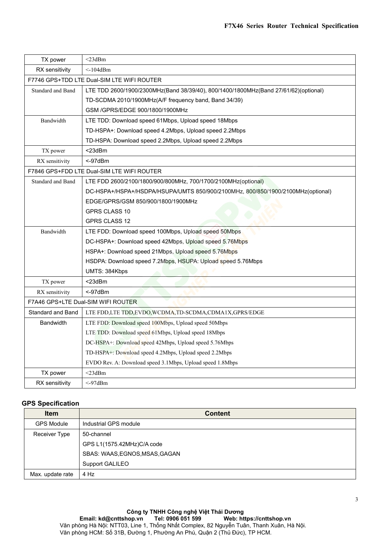|                          | F7X46 Series Router Technical Specification                                         |
|--------------------------|-------------------------------------------------------------------------------------|
|                          |                                                                                     |
|                          |                                                                                     |
| TX power                 | $<$ 23dBm                                                                           |
| RX sensitivity           | $<$ -104dBm                                                                         |
|                          | F7746 GPS+TDD LTE Dual-SIM LTE WIFI ROUTER                                          |
| Standard and Band        | LTE TDD 2600/1900/2300MHz(Band 38/39/40), 800/1400/1800MHz(Band 27/61/62)(optional) |
|                          | TD-SCDMA 2010/1900MHz(A/F frequency band, Band 34/39)                               |
|                          | GSM /GPRS/EDGE 900/1800/1900MHz                                                     |
| Bandwidth                | LTE TDD: Download speed 61Mbps, Upload speed 18Mbps                                 |
|                          | TD-HSPA+: Download speed 4.2Mbps, Upload speed 2.2Mbps                              |
|                          | TD-HSPA: Download speed 2.2Mbps, Upload speed 2.2Mbps                               |
| TX power                 | $<$ 23dBm                                                                           |
| RX sensitivity           | < 97dBr                                                                             |
|                          | F7846 GPS+FDD LTE Dual-SIM LTE WIFI ROUTER                                          |
| Standard and Band        | LTE FDD 2600/2100/1800/900/800MHz, 700/1700/2100MHz(optional)                       |
|                          | DC-HSPA+/HSPA+/HSDPA/HSUPA/UMTS 850/900/2100MHz, 800/850/1900/2100MHz(optional)     |
|                          | EDGE/GPRS/GSM 850/900/1800/1900MHz                                                  |
|                          | <b>GPRS CLASS 10</b>                                                                |
|                          | GPRS CLASS 12                                                                       |
| Bandwidth                | LTE FDD: Download speed 100Mbps, Upload speed 50Mbps                                |
|                          | DC-HSPA+: Download speed 42Mbps, Upload speed 5.76Mbps                              |
|                          | HSPA+: Download speed 21Mbps, Upload speed 5.76Mbps                                 |
|                          | HSDPA: Download speed 7.2Mbps, HSUPA: Upload speed 5.76Mbps                         |
|                          | UMTS: 384Kbps                                                                       |
| TX power                 | <23dBm                                                                              |
| RX sensitivity           | <-97dBm                                                                             |
|                          | F7A46 GPS+LTE Dual-SIM WIFI ROUTER                                                  |
| Standard and Band        | LTE FDD,LTE TDD,EVDO, WCDMA,TD-SCDMA,CDMA1X,GPRS/EDGE                               |
| <b>Bandwidth</b>         | LTE FDD: Download speed 100Mbps, Upload speed 50Mbps                                |
|                          | LTE TDD: Download speed 61Mbps, Upload speed 18Mbps                                 |
|                          | DC-HSPA+: Download speed 42Mbps, Upload speed 5.76Mbps                              |
|                          | TD-HSPA+: Download speed 4.2Mbps, Upload speed 2.2Mbps                              |
|                          | EVDO Rev. A: Download speed 3.1Mbps, Upload speed 1.8Mbps                           |
| TX power                 | $<$ 23dBm                                                                           |
| RX sensitivity           | $<$ -97dBm                                                                          |
|                          |                                                                                     |
| <b>GPS Specification</b> |                                                                                     |
| Item                     | <b>Content</b>                                                                      |
| <b>GPS Module</b>        | Industrial GPS module                                                               |
| Receiver Type            | 50-channel                                                                          |
|                          | GPS L1(1575.42MHz)C/A code                                                          |
|                          | COAC. WAAC FONOC MOAC CACAN                                                         |

|                          | TD-HSPA+: Download speed 4.2Mbps, Upload speed 2.2Mbps    |
|--------------------------|-----------------------------------------------------------|
|                          | EVDO Rev. A: Download speed 3.1Mbps, Upload speed 1.8Mbps |
| TX power                 | $<$ 23dBm                                                 |
| RX sensitivity           | $<$ -97dBm                                                |
| <b>GPS Specification</b> |                                                           |
| <b>Item</b>              | <b>Content</b>                                            |
| <b>GPS Module</b>        | Industrial GPS module                                     |
| Receiver Type            | 50-channel                                                |
|                          | GPS L1(1575.42MHz)C/A code                                |
|                          | SBAS: WAAS, EGNOS, MSAS, GAGAN                            |
|                          |                                                           |
|                          | Support GALILEO                                           |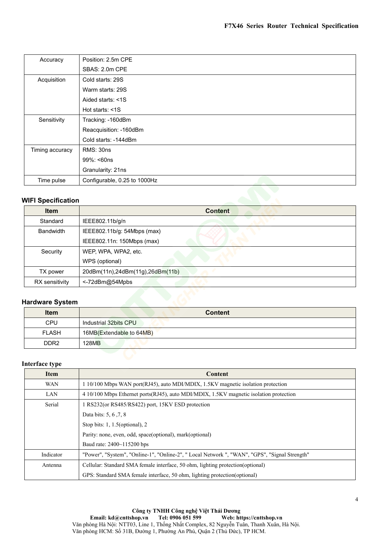|                           |                              |                | F7X46 Series Router Technical Specification |  |
|---------------------------|------------------------------|----------------|---------------------------------------------|--|
|                           |                              |                |                                             |  |
|                           |                              |                |                                             |  |
| Accuracy                  | Position: 2.5m CPE           |                |                                             |  |
|                           | SBAS: 2.0m CPE               |                |                                             |  |
| Acquisition               | Cold starts: 29S             |                |                                             |  |
|                           | Warm starts: 29S             |                |                                             |  |
|                           | Aided starts: <1S            |                |                                             |  |
|                           | Hot starts: <1S              |                |                                             |  |
| Sensitivity               | Tracking: - 160dBm           |                |                                             |  |
|                           | Reacquisition: -160dBm       |                |                                             |  |
|                           | Cold starts: -144dBm         |                |                                             |  |
| Timing accuracy           | RMS: 30ns                    |                |                                             |  |
|                           | 99%: <60ns                   |                |                                             |  |
|                           | Granularity: 21ns            |                |                                             |  |
| Time pulse                | Configurable, 0.25 to 1000Hz |                |                                             |  |
|                           |                              |                |                                             |  |
| <b>WIFI Specification</b> |                              |                |                                             |  |
| <b>Item</b>               |                              | <b>Content</b> |                                             |  |
| Standard                  | IEEE802.11b/g/n              |                |                                             |  |
| <b>Bandwidth</b>          | IEEE802.11b/g: 54Mbps (max)  |                |                                             |  |

| Timing accuracy           | RMS: 30ns                        |
|---------------------------|----------------------------------|
|                           | 99%: <60ns                       |
|                           | Granularity: 21ns                |
| Time pulse                | Configurable, 0.25 to 1000Hz     |
|                           |                                  |
| <b>WIFI Specification</b> |                                  |
| Item                      | <b>Content</b>                   |
| Standard                  | IEEE802.11b/g/n                  |
| <b>Bandwidth</b>          | IEEE802.11b/g: 54Mbps (max)      |
|                           | IEEE802.11n: 150Mbps (max)       |
| Security                  | WEP, WPA, WPA2, etc.             |
|                           | WPS (optional)                   |
| TX power                  | 20dBm(11n),24dBm(11g),26dBm(11b) |
| RX sensitivity            | <-72dBm@54Mpbs                   |
|                           |                                  |
| <b>Hardware System</b>    |                                  |
| Item                      | <b>Content</b>                   |
| CPU                       | Industrial 32bits CPU            |
| <b>FLASH</b>              | 16MB(Extendable to 64MB)         |
| DDR <sub>2</sub>          | <b>128MB</b>                     |
|                           |                                  |

| Security               | WEP, WPA, WPA2, etc.                                                                   |
|------------------------|----------------------------------------------------------------------------------------|
|                        | WPS (optional)                                                                         |
| TX power               | 20dBm(11n),24dBm(11g),26dBm(11b)                                                       |
| RX sensitivity         | <-72dBm@54Mpbs                                                                         |
|                        |                                                                                        |
| <b>Hardware System</b> |                                                                                        |
| <b>Item</b>            | <b>Content</b>                                                                         |
| <b>CPU</b>             | Industrial 32bits CPU                                                                  |
| <b>FLASH</b>           | 16MB(Extendable to 64MB)                                                               |
| DDR <sub>2</sub>       | 128MB                                                                                  |
|                        |                                                                                        |
| <b>Interface type</b>  |                                                                                        |
| <b>Item</b>            | Content                                                                                |
| <b>WAN</b>             | 1 10/100 Mbps WAN port(RJ45), auto MDI/MDIX, 1.5KV magnetic isolation protection       |
| LAN                    | 4 10/100 Mbps Ethernet ports(RJ45), auto MDI/MDIX, 1.5KV magnetic isolation protection |

| Item             | <b>Content</b>                                                                                |
|------------------|-----------------------------------------------------------------------------------------------|
| CPU              | Industrial 32bits CPU                                                                         |
| <b>FLASH</b>     | 16MB(Extendable to 64MB)                                                                      |
| DDR <sub>2</sub> | <b>128MB</b>                                                                                  |
|                  |                                                                                               |
| Interface type   |                                                                                               |
| Item             | Content                                                                                       |
| <b>WAN</b>       | 1 10/100 Mbps WAN port(RJ45), auto MDI/MDIX, 1.5KV magnetic isolation protection              |
| LAN              | 4 10/100 Mbps Ethernet ports (RJ45), auto MDI/MDIX, 1.5KV magnetic isolation protection       |
| Serial           | 1 RS232(or RS485/RS422) port, 15KV ESD protection                                             |
|                  | Data bits: 5, 6, 7, 8                                                                         |
|                  | Stop bits: $1, 1.5$ (optional), $2$                                                           |
|                  | Parity: none, even, odd, space(optional), mark(optional)                                      |
|                  | Baud rate: 2400~115200 bps                                                                    |
| Indicator        | "Power", "System", "Online-1", "Online-2", " Local Network ", "WAN", "GPS", "Signal Strength" |
| Antenna          | Cellular: Standard SMA female interface, 50 ohm, lighting protection(optional)                |
|                  | GPS: Standard SMA female interface, 50 ohm, lighting protection (optional)                    |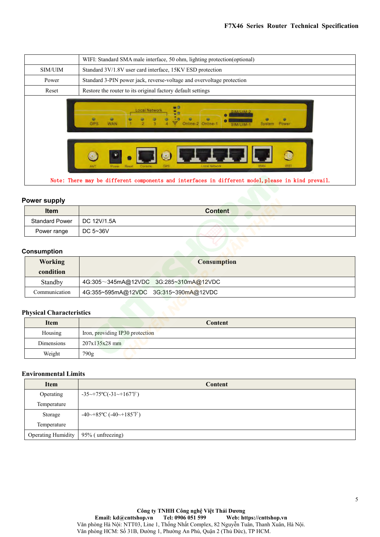| Power range           | DC 5~36V                                                                                                                                     |
|-----------------------|----------------------------------------------------------------------------------------------------------------------------------------------|
| <b>Standard Power</b> | DC 12V/1.5A                                                                                                                                  |
| Item                  | <b>Content</b>                                                                                                                               |
| <b>Power supply</b>   | Note: There may be different components and interfaces in different model, please in kind prevail.                                           |
|                       | ANT<br>Rese<br><b>Local Network</b>                                                                                                          |
|                       | u G<br><b>Local Network</b><br>٠<br>a<br>۰<br>٠<br>۰<br>$\bullet$<br>ø<br><b>GPS</b><br>Online-2 Online-1<br>WAN<br>System Power<br>SIM/LITM |
|                       |                                                                                                                                              |
| Power<br>Reset        | Standard 3-PIN power jack, reverse-voltage and overvoltage protection<br>Restore the router to its original factory default settings         |
| SIM/UIM               | Standard 3V/1.8V user card interface, 15KV ESD protection                                                                                    |
|                       | WIFI: Standard SMA male interface, 50 ohm, lighting protection(optional)                                                                     |

| <b>Item</b>                  | <b>Content</b> |
|------------------------------|----------------|
| Standard Power   DC 12V/1.5A |                |
| Power range                  | DC 5~36V       |

## **Consumption**

| <b>Power supply</b>             |                                       |
|---------------------------------|---------------------------------------|
| <b>Item</b>                     | <b>Content</b>                        |
| <b>Standard Power</b>           | DC 12V/1.5A                           |
| Power range                     | DC 5~36V                              |
|                                 |                                       |
| <b>Consumption</b>              |                                       |
| <b>Working</b>                  | <b>Consumption</b>                    |
| condition                       |                                       |
| Standby                         | 4G:305~345mA@12VDC 3G:285~310mA@12VDC |
| Communication                   | 4G:355~595mA@12VDC 3G:315~390mA@12VDC |
| <b>Physical Characteristics</b> |                                       |
|                                 |                                       |
| <b>Item</b>                     | Content                               |
| Housing                         | Iron, providing IP30 protection       |
| Dimensions                      | $207x135x28$ mm                       |
| Weight                          | 790g                                  |

| <b>Working</b>                  | <b>Consumption</b>                                   |
|---------------------------------|------------------------------------------------------|
| condition                       |                                                      |
| Standby                         | 4G:305~345mA@12VDC 3G:285~310mA@12VDC                |
| Communication                   | 4G:355~595mA@12VDC 3G:315~390mA@12VDC                |
|                                 |                                                      |
| <b>Physical Characteristics</b> |                                                      |
| <b>Item</b>                     | Content                                              |
| Housing                         | Iron, providing IP30 protection                      |
| <b>Dimensions</b>               | $207x135x28$ mm                                      |
| Weight                          | 790g                                                 |
|                                 |                                                      |
| <b>Environmental Limits</b>     |                                                      |
| <b>Item</b>                     | Content                                              |
| Operating                       | $-35 \rightarrow +75$ °C $(-31 \rightarrow +167$ °F) |
| Temperature                     |                                                      |

| Housing                     | Iron, providing IP30 protection                       |
|-----------------------------|-------------------------------------------------------|
| Dimensions                  | $207x135x28$ mm                                       |
| Weight                      | 790g                                                  |
|                             |                                                       |
| <b>Environmental Limits</b> |                                                       |
| <b>Item</b>                 | <b>Content</b>                                        |
| Operating                   | $-35 \rightarrow +75$ °C $(-31 \rightarrow +167$ °F)  |
| Temperature                 |                                                       |
| Storage                     | $-40 \rightarrow +85$ °C ( $-40 \rightarrow +185$ °F) |
| Temperature                 |                                                       |
| <b>Operating Humidity</b>   | 95% (unfreezing)                                      |
|                             |                                                       |
|                             |                                                       |
|                             |                                                       |